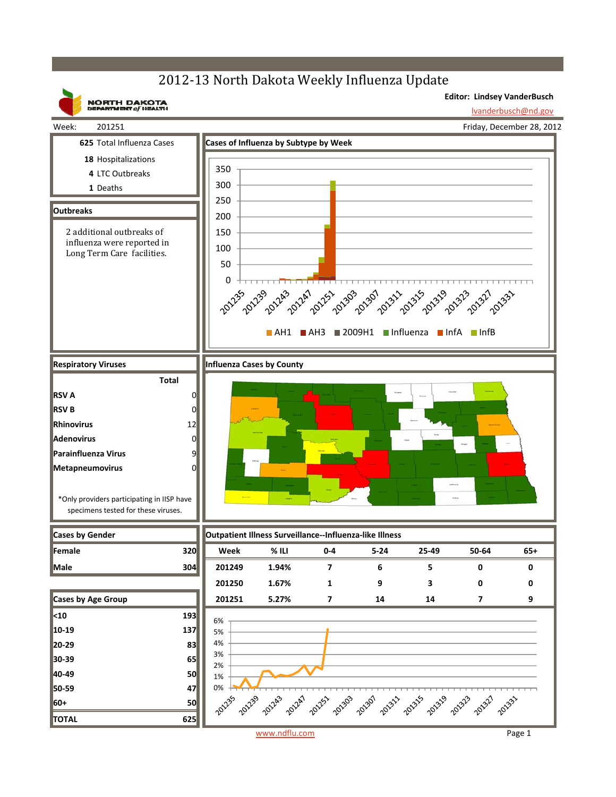## 2012-13 North Dakota Weekly Influenza Update